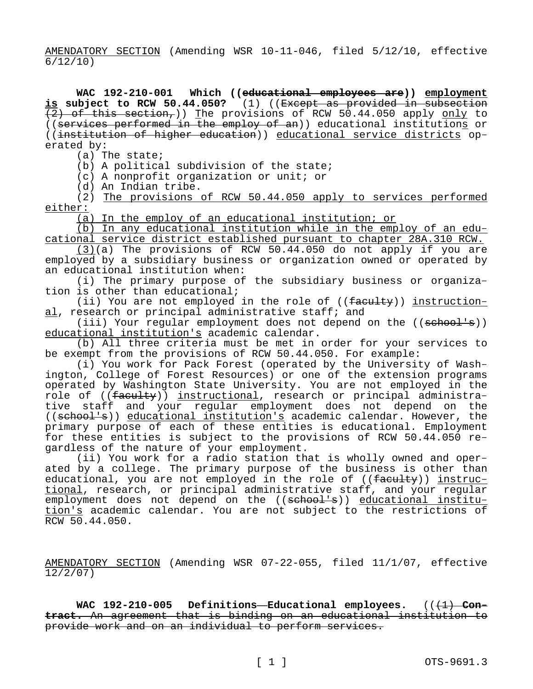AMENDATORY SECTION (Amending WSR 10-11-046, filed 5/12/10, effective 6/12/10)

**WAC 192-210-001 Which ((educational employees are)) employment is subject to RCW 50.44.050?** (1) ((Except as provided in subsection  $(2)$  of this section,)) The provisions of RCW 50.44.050 apply only to ((services performed in the employ of an)) educational institutions or ((institution of higher education)) educational service districts operated by:

(a) The state;

(b) A political subdivision of the state;

(c) A nonprofit organization or unit; or

(d) An Indian tribe.

(2) The provisions of RCW 50.44.050 apply to services performed either:

(a) In the employ of an educational institution; or

(b) In any educational institution while in the employ of an educational service district established pursuant to chapter 28A.310 RCW.

(3)(a) The provisions of RCW 50.44.050 do not apply if you are employed by a subsidiary business or organization owned or operated by an educational institution when:

(i) The primary purpose of the subsidiary business or organization is other than educational;

(ii) You are not employed in the role of  $((\text{facultiply}) )$  instructional, research or principal administrative staff; and

(iii) Your regular employment does not depend on the  $((\text{sehook}))$ educational institution's academic calendar.

(b) All three criteria must be met in order for your services to be exempt from the provisions of RCW 50.44.050. For example:

(i) You work for Pack Forest (operated by the University of Washington, College of Forest Resources) or one of the extension programs operated by Washington State University. You are not employed in the role of ((faculty)) instructional, research or principal administrative staff and your regular employment does not depend on the ((school's)) educational institution's academic calendar. However, the primary purpose of each of these entities is educational. Employment for these entities is subject to the provisions of RCW 50.44.050 regardless of the nature of your employment.

(ii) You work for a radio station that is wholly owned and operated by a college. The primary purpose of the business is other than educational, you are not employed in the role of ((faculty)) instructional, research, or principal administrative staff, and your regular employment does not depend on the ((school's)) educational institution's academic calendar. You are not subject to the restrictions of RCW 50.44.050.

AMENDATORY SECTION (Amending WSR 07-22-055, filed 11/1/07, effective 12/2/07)

WAC 192-210-005 Definitions-Educational employees. (( $\left(\frac{1}{1}\right)$ -Con**tract.** An agreement that is binding on an educational institution to provide work and on an individual to perform services.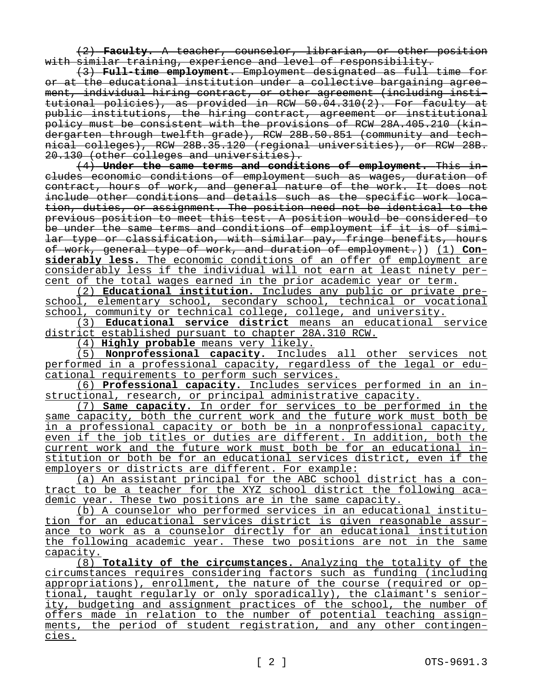(2) **Faculty.** A teacher, counselor, librarian, or other position with similar training, experience and level of responsibility.

(3) **Full-time employment.** Employment designated as full time for or at the educational institution under a collective bargaining agreement, individual hiring contract, or other agreement (including institutional policies), as provided in RCW 50.04.310(2). For faculty at public institutions, the hiring contract, agreement or institutional policy must be consistent with the provisions of RCW 28A.405.210 (kindergarten through twelfth grade), RCW 28B.50.851 (community and technical colleges), RCW 28B.35.120 (regional universities), or RCW 28B. 20.130 (other colleges and universities).

(4) **Under the same terms and conditions of employment.** This includes economic conditions of employment such as wages, duration of contract, hours of work, and general nature of the work. It does not include other conditions and details such as the specific work location, duties, or assignment. The position need not be identical to the previous position to meet this test. A position would be considered to be under the same terms and conditions of employment if it is of similar type or classification, with similar pay, fringe benefits, hours of work, general type of work, and duration of employment.)) (1) **Considerably less.** The economic conditions of an offer of employment are considerably less if the individual will not earn at least ninety percent of the total wages earned in the prior academic year or term.

(2) **Educational institution.** Includes any public or private preschool, elementary school, secondary school, technical or vocational school, community or technical college, college, and university.

(3) **Educational service district** means an educational service district established pursuant to chapter 28A.310 RCW.

(4) **Highly probable** means very likely.

(5) **Nonprofessional capacity.** Includes all other services not performed in a professional capacity, regardless of the legal or educational requirements to perform such services.

(6) **Professional capacity.** Includes services performed in an instructional, research, or principal administrative capacity.

(7) **Same capacity.** In order for services to be performed in the same capacity, both the current work and the future work must both be in a professional capacity or both be in a nonprofessional capacity, even if the job titles or duties are different. In addition, both the current work and the future work must both be for an educational institution or both be for an educational services district, even if the employers or districts are different. For example:

(a) An assistant principal for the ABC school district has a contract to be a teacher for the XYZ school district the following academic year. These two positions are in the same capacity.

(b) A counselor who performed services in an educational institution for an educational services district is given reasonable assurance to work as a counselor directly for an educational institution the following academic year. These two positions are not in the same capacity.

(8) **Totality of the circumstances.** Analyzing the totality of the circumstances requires considering factors such as funding (including appropriations), enrollment, the nature of the course (required or optional, taught regularly or only sporadically), the claimant's seniority, budgeting and assignment practices of the school, the number of offers made in relation to the number of potential teaching assignments, the period of student registration, and any other contingencies.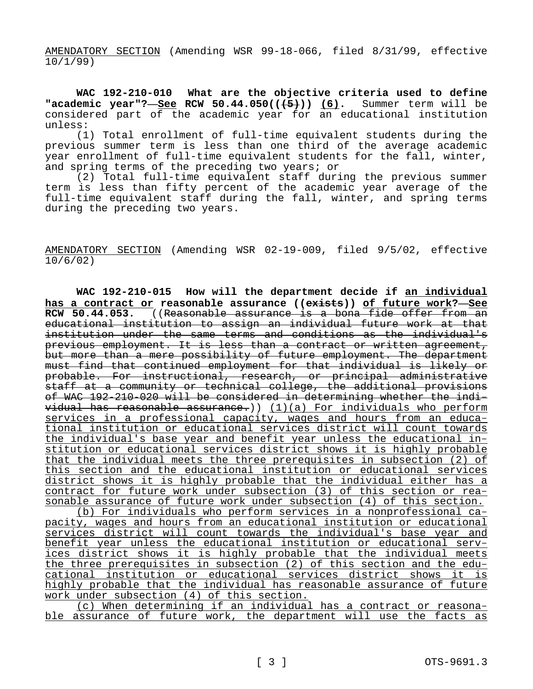AMENDATORY SECTION (Amending WSR 99-18-066, filed 8/31/99, effective 10/1/99)

**WAC 192-210-010 What are the objective criteria used to define "academic year"?**—**See RCW 50.44.050(((5))) (6).** Summer term will be considered part of the academic year for an educational institution unless:

(1) Total enrollment of full-time equivalent students during the previous summer term is less than one third of the average academic year enrollment of full-time equivalent students for the fall, winter, and spring terms of the preceding two years; or

(2) Total full-time equivalent staff during the previous summer term is less than fifty percent of the academic year average of the full-time equivalent staff during the fall, winter, and spring terms during the preceding two years.

AMENDATORY SECTION (Amending WSR 02-19-009, filed 9/5/02, effective 10/6/02)

**WAC 192-210-015 How will the department decide if an individual has a contract or reasonable assurance ((exists)) of future work?—See RCW 50.44.053.** ((Reasonable assurance is a bona fide offer from an educational institution to assign an individual future work at that institution under the same terms and conditions as the individual's previous employment. It is less than a contract or written agreement, but more than a mere possibility of future employment. The department must find that continued employment for that individual is likely or probable. For instructional, research, or principal administrative staff at a community or technical college, the additional provisions of WAC 192-210-020 will be considered in determining whether the indi $width$   $width$  has reasonable assurance.))  $(1)(a)$  For individuals who perform services in a professional capacity, wages and hours from an educational institution or educational services district will count towards the individual's base year and benefit year unless the educational institution or educational services district shows it is highly probable that the individual meets the three prerequisites in subsection (2) of this section and the educational institution or educational services district shows it is highly probable that the individual either has a contract for future work under subsection (3) of this section or reasonable assurance of future work under subsection (4) of this section. (b) For individuals who perform services in a nonprofessional capacity, wages and hours from an educational institution or educational services district will count towards the individual's base year and benefit year unless the educational institution or educational services district shows it is highly probable that the individual meets the three prerequisites in subsection (2) of this section and the educational institution or educational services district shows it is highly probable that the individual has reasonable assurance of future work under subsection (4) of this section.

(c) When determining if an individual has a contract or reasonable assurance of future work, the department will use the facts as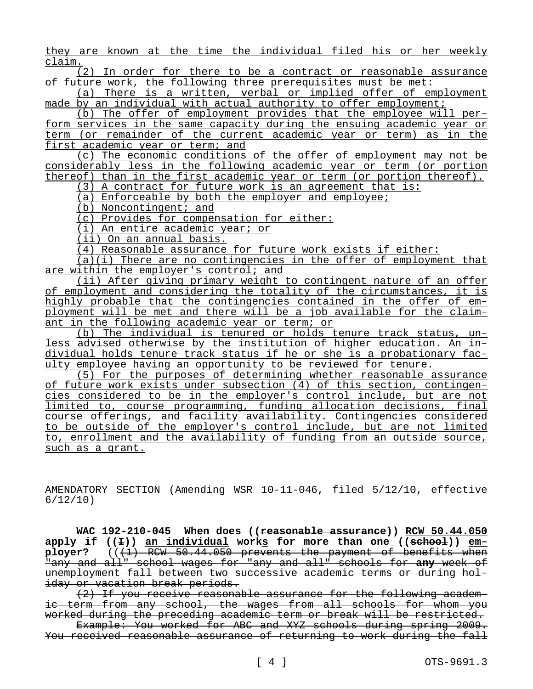they are known at the time the individual filed his or her weekly claim.

(2) In order for there to be a contract or reasonable assurance of future work, the following three prerequisites must be met:

(a) There is a written, verbal or implied offer of employment made by an individual with actual authority to offer employment;

(b) The offer of employment provides that the employee will perform services in the same capacity during the ensuing academic year or term (or remainder of the current academic year or term) as in the first academic year or term; and

(c) The economic conditions of the offer of employment may not be considerably less in the following academic year or term (or portion thereof) than in the first academic year or term (or portion thereof).

(3) A contract for future work is an agreement that is:

(a) Enforceable by both the employer and employee;

(b) Noncontingent; and

(c) Provides for compensation for either:

(i) An entire academic year; or

(ii) On an annual basis.

(4) Reasonable assurance for future work exists if either:

 $(a)(i)$  There are no contingencies in the offer of employment that are within the employer's control; and

(ii) After giving primary weight to contingent nature of an offer of employment and considering the totality of the circumstances, it is highly probable that the contingencies contained in the offer of employment will be met and there will be a job available for the claimant in the following academic year or term; or

(b) The individual is tenured or holds tenure track status, unless advised otherwise by the institution of higher education. An individual holds tenure track status if he or she is a probationary faculty employee having an opportunity to be reviewed for tenure.

(5) For the purposes of determining whether reasonable assurance of future work exists under subsection (4) of this section, contingencies considered to be in the employer's control include, but are not limited to, course programming, funding allocation decisions, final course offerings, and facility availability. Contingencies considered to be outside of the employer's control include, but are not limited to, enrollment and the availability of funding from an outside source, such as a grant.

AMENDATORY SECTION (Amending WSR 10-11-046, filed 5/12/10, effective 6/12/10)

**WAC 192-210-045 When does ((reasonable assurance)) RCW 50.44.050 apply if ((I)) an individual works for more than one ((school)) employer?** (((1) RCW 50.44.050 prevents the payment of benefits when "any and all" school wages for "any and all" schools for **any** week of unemployment fall between two successive academic terms or during holiday or vacation break periods.

(2) If you receive reasonable assurance for the following academic term from any school, the wages from all schools for whom you worked during the preceding academic term or break will be restricted.

Example: You worked for ABC and XYZ schools during spring 2009. You received reasonable assurance of returning to work during the fall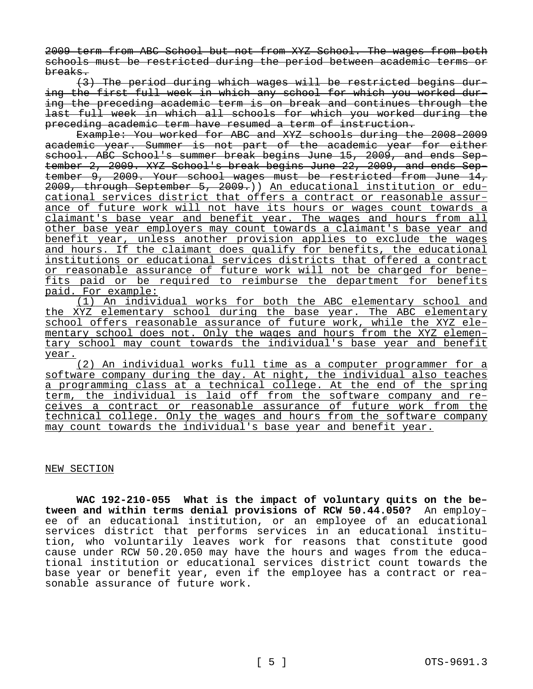2009 term from ABC School but not from XYZ School. The wages from both schools must be restricted during the period between academic terms or breaks.

(3) The period during which wages will be restricted begins during the first full week in which any school for which you worked during the preceding academic term is on break and continues through the last full week in which all schools for which you worked during the preceding academic term have resumed a term of instruction.

Example: You worked for ABC and XYZ schools during the 2008-2009 academic year. Summer is not part of the academic year for either school. ABC School's summer break begins June 15, 2009, and ends September 2, 2009. XYZ School's break begins June 22, 2009, and ends September 9, 2009. Your school wages must be restricted from June 14, 2009, through September 5, 2009.)) An educational institution or educational services district that offers a contract or reasonable assurance of future work will not have its hours or wages count towards a claimant's base year and benefit year. The wages and hours from all other base year employers may count towards a claimant's base year and benefit year, unless another provision applies to exclude the wages and hours. If the claimant does qualify for benefits, the educational institutions or educational services districts that offered a contract or reasonable assurance of future work will not be charged for benefits paid or be required to reimburse the department for benefits paid. For example:

(1) An individual works for both the ABC elementary school and the XYZ elementary school during the base year. The ABC elementary school offers reasonable assurance of future work, while the XYZ elementary school does not. Only the wages and hours from the XYZ elementary school may count towards the individual's base year and benefit year.

(2) An individual works full time as a computer programmer for a software company during the day. At night, the individual also teaches a programming class at a technical college. At the end of the spring term, the individual is laid off from the software company and receives a contract or reasonable assurance of future work from the technical college. Only the wages and hours from the software company may count towards the individual's base year and benefit year.

## NEW SECTION

**WAC 192-210-055 What is the impact of voluntary quits on the between and within terms denial provisions of RCW 50.44.050?** An employee of an educational institution, or an employee of an educational services district that performs services in an educational institution, who voluntarily leaves work for reasons that constitute good cause under RCW 50.20.050 may have the hours and wages from the educational institution or educational services district count towards the base year or benefit year, even if the employee has a contract or reasonable assurance of future work.